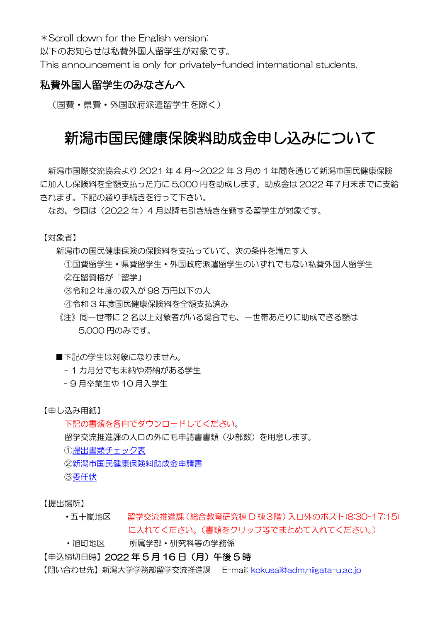\*Scroll down for the English version:

以下のお知らせは私費外国人留学生が対象です。

This announcement is only for privately-funded international students.

### 私費外国人留学生のみなさんへ

(国費・県費・外国政府派遣留学生を除く)

# 新潟市国民健康保険料助成金申し込みについて

新潟市国際交流協会より 2021 年 4 月~2022 年 3 月の 1 年間を通じて新潟市国民健康保険 に加入し保険料を全額支払った方に 5,000 円を助成します。助成金は 2022 年7月末までに支給 されます。下記の通り手続きを行って下さい。

なお、今回は(2022 年)4 月以降も引き続き在籍する留学生が対象です。

【対象者】

新潟市の国民健康保険の保険料を支払っていて、次の条件を満たす人

 ①国費留学生・県費留学生・外国政府派遣留学生のいずれでもない私費外国人留学生 ②在留資格が「留学」

- ③令和2年度の収入が 98 万円以下の人
- ④令和 3 年度国民健康保険料を全額支払済み
- 《注》同一世帯に 2 名以上対象者がいる場合でも、一世帯あたりに助成できる額は 5,000 円のみです。
- ■下記の学生は対象になりません。
	- 1 カ月分でも未納や滞納がある学生
	- 9 月卒業生や 10 月入学生

【申し込み用紙】

 下記の書類を各自でダウンロードしてください。 留学交流推進課の入口の外にも申請書書類(少部数)を用意します。 [①提出書類チェック表](https://www.niigata-u.ac.jp/wp-content/uploads/2022/04/1.checklist_j.pdf) [②新潟市国民健康保険料助成金申請書](https://www.niigata-u.ac.jp/wp-content/uploads/2022/04/2.application_-form.pdf)

[③委任状](https://www.niigata-u.ac.jp/wp-content/uploads/2022/04/3.ininjo.pdf)

【提出場所】

- •五十嵐地区 留学交流推進課 (総合教育研究棟 D 棟3階) 入口外のポスト(8:30-17:15) に入れてください。(書類をクリップ等でまとめて入れてください。)
- ・旭町地区 所属学部・研究科等の学務係

【申込締切日時】2022 年 5 月 16 日(月)午後 5 時

【問い合わせ先】新潟大学学務部留学交流推進課 E-mail: [kokusai@adm.niigata-u.ac.jp](mailto:kokusai@adm.niigata-u.ac.jp)